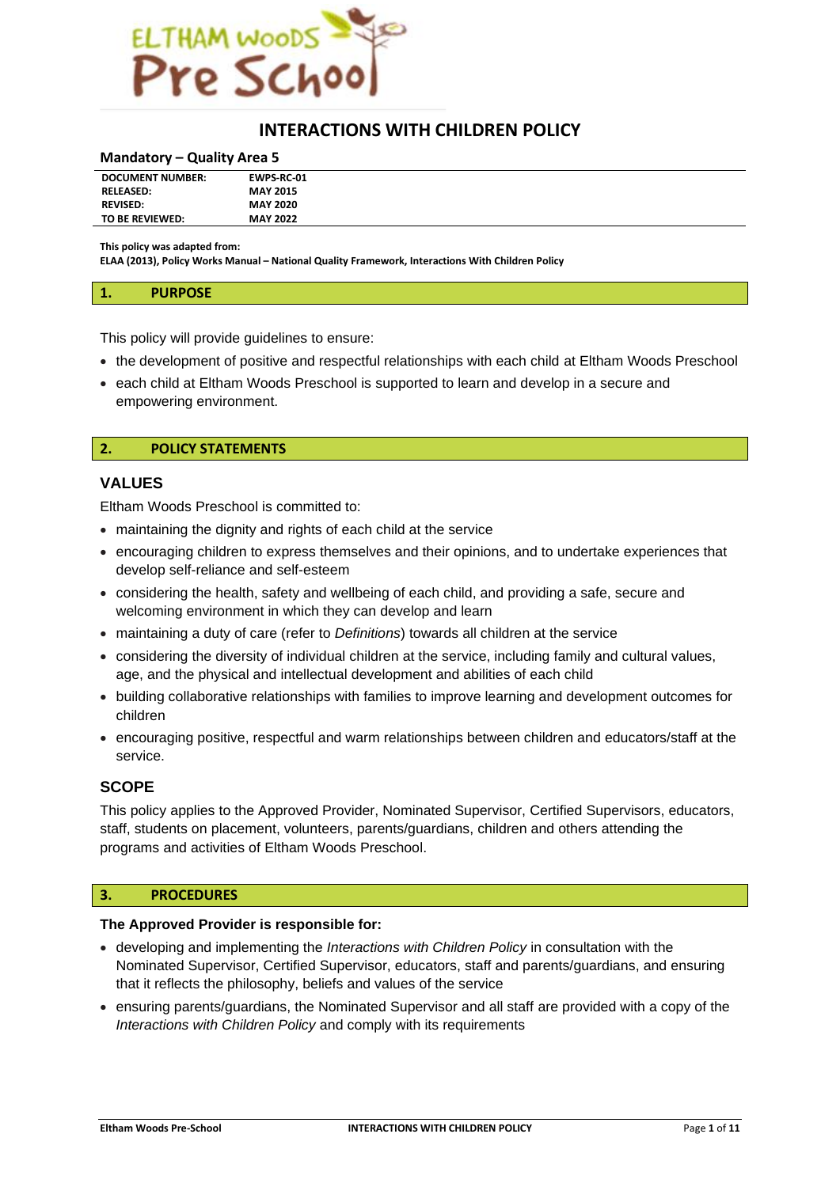

# **INTERACTIONS WITH CHILDREN POLICY**

#### **Mandatory – Quality Area 5**

| <b>DOCUMENT NUMBER:</b> | <b>EWPS RC 01</b> |
|-------------------------|-------------------|
|                         |                   |
| <b>RELEASED:</b>        | <b>MAY 2015</b>   |
|                         |                   |
| <b>REVISED:</b>         | <b>MAY 2020</b>   |
|                         |                   |
| TO BE REVIEWED:         | <b>MAY 2022</b>   |
|                         |                   |
|                         |                   |

**This policy was adapted from:**

**ELAA (2013), Policy Works Manual – National Quality Framework, Interactions With Children Policy**

#### **1. PURPOSE**

This policy will provide guidelines to ensure:

- the development of positive and respectful relationships with each child at Eltham Woods Preschool
- each child at Eltham Woods Preschool is supported to learn and develop in a secure and empowering environment.

## **2. POLICY STATEMENTS**

#### **VALUES**

Eltham Woods Preschool is committed to:

- maintaining the dignity and rights of each child at the service
- encouraging children to express themselves and their opinions, and to undertake experiences that develop self-reliance and self-esteem
- considering the health, safety and wellbeing of each child, and providing a safe, secure and welcoming environment in which they can develop and learn
- maintaining a duty of care (refer to *Definitions*) towards all children at the service
- considering the diversity of individual children at the service, including family and cultural values, age, and the physical and intellectual development and abilities of each child
- building collaborative relationships with families to improve learning and development outcomes for children
- encouraging positive, respectful and warm relationships between children and educators/staff at the service.

# **SCOPE**

This policy applies to the Approved Provider, Nominated Supervisor, Certified Supervisors, educators, staff, students on placement, volunteers, parents/guardians, children and others attending the programs and activities of Eltham Woods Preschool.

# **3. PROCEDURES**

#### **The Approved Provider is responsible for:**

- developing and implementing the *Interactions with Children Policy* in consultation with the Nominated Supervisor, Certified Supervisor, educators, staff and parents/guardians, and ensuring that it reflects the philosophy, beliefs and values of the service
- ensuring parents/guardians, the Nominated Supervisor and all staff are provided with a copy of the *Interactions with Children Policy* and comply with its requirements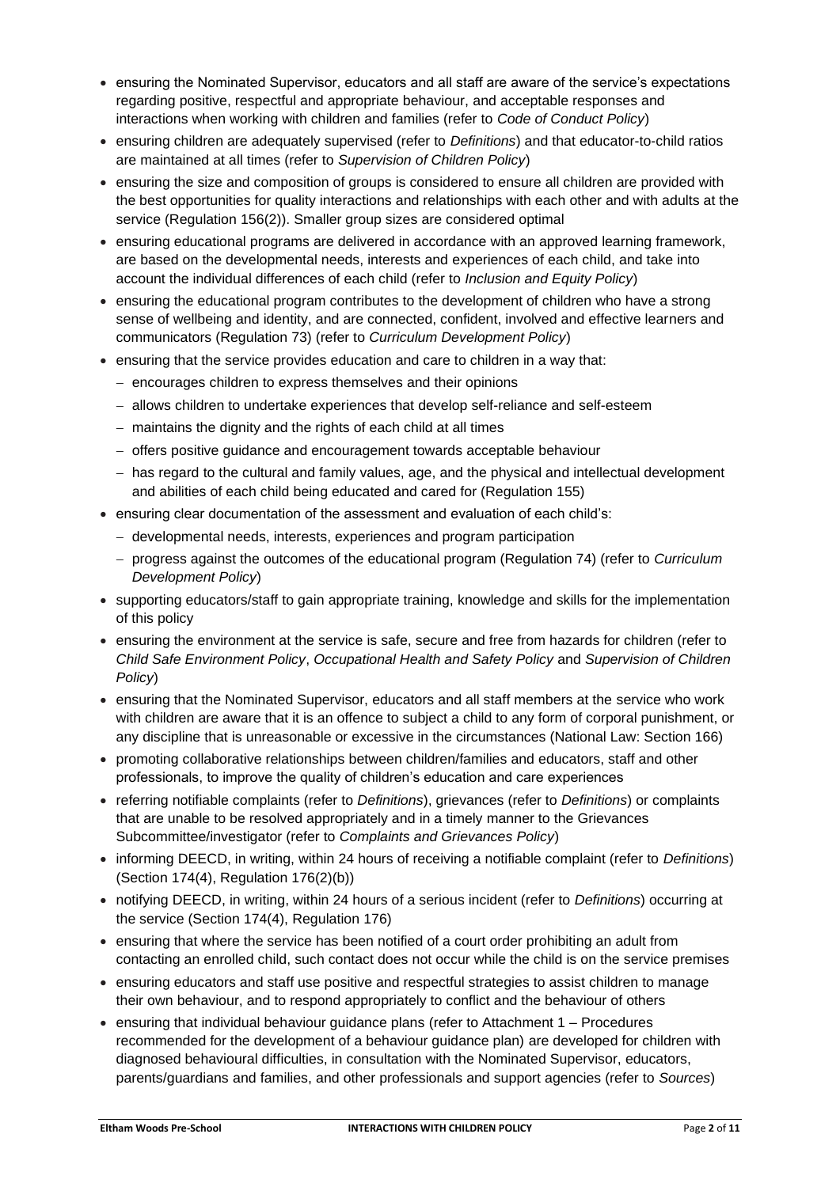- ensuring the Nominated Supervisor, educators and all staff are aware of the service's expectations regarding positive, respectful and appropriate behaviour, and acceptable responses and interactions when working with children and families (refer to *Code of Conduct Policy*)
- ensuring children are adequately supervised (refer to *Definitions*) and that educator-to-child ratios are maintained at all times (refer to *Supervision of Children Policy*)
- ensuring the size and composition of groups is considered to ensure all children are provided with the best opportunities for quality interactions and relationships with each other and with adults at the service (Regulation 156(2)). Smaller group sizes are considered optimal
- ensuring educational programs are delivered in accordance with an approved learning framework, are based on the developmental needs, interests and experiences of each child, and take into account the individual differences of each child (refer to *Inclusion and Equity Policy*)
- ensuring the educational program contributes to the development of children who have a strong sense of wellbeing and identity, and are connected, confident, involved and effective learners and communicators (Regulation 73) (refer to *Curriculum Development Policy*)
- ensuring that the service provides education and care to children in a way that:
	- − encourages children to express themselves and their opinions
	- − allows children to undertake experiences that develop self-reliance and self-esteem
	- − maintains the dignity and the rights of each child at all times
	- − offers positive guidance and encouragement towards acceptable behaviour
	- − has regard to the cultural and family values, age, and the physical and intellectual development and abilities of each child being educated and cared for (Regulation 155)
- ensuring clear documentation of the assessment and evaluation of each child's:
	- − developmental needs, interests, experiences and program participation
	- − progress against the outcomes of the educational program (Regulation 74) (refer to *Curriculum Development Policy*)
- supporting educators/staff to gain appropriate training, knowledge and skills for the implementation of this policy
- ensuring the environment at the service is safe, secure and free from hazards for children (refer to *Child Safe Environment Policy*, *Occupational Health and Safety Policy* and *Supervision of Children Policy*)
- ensuring that the Nominated Supervisor, educators and all staff members at the service who work with children are aware that it is an offence to subject a child to any form of corporal punishment, or any discipline that is unreasonable or excessive in the circumstances (National Law: Section 166)
- promoting collaborative relationships between children/families and educators, staff and other professionals, to improve the quality of children's education and care experiences
- referring notifiable complaints (refer to *Definitions*), grievances (refer to *Definitions*) or complaints that are unable to be resolved appropriately and in a timely manner to the Grievances Subcommittee/investigator (refer to *Complaints and Grievances Policy*)
- informing DEECD, in writing, within 24 hours of receiving a notifiable complaint (refer to *Definitions*) (Section 174(4), Regulation 176(2)(b))
- notifying DEECD, in writing, within 24 hours of a serious incident (refer to *Definitions*) occurring at the service (Section 174(4), Regulation 176)
- ensuring that where the service has been notified of a court order prohibiting an adult from contacting an enrolled child, such contact does not occur while the child is on the service premises
- ensuring educators and staff use positive and respectful strategies to assist children to manage their own behaviour, and to respond appropriately to conflict and the behaviour of others
- ensuring that individual behaviour guidance plans (refer to Attachment 1 Procedures recommended for the development of a behaviour guidance plan) are developed for children with diagnosed behavioural difficulties, in consultation with the Nominated Supervisor, educators, parents/guardians and families, and other professionals and support agencies (refer to *Sources*)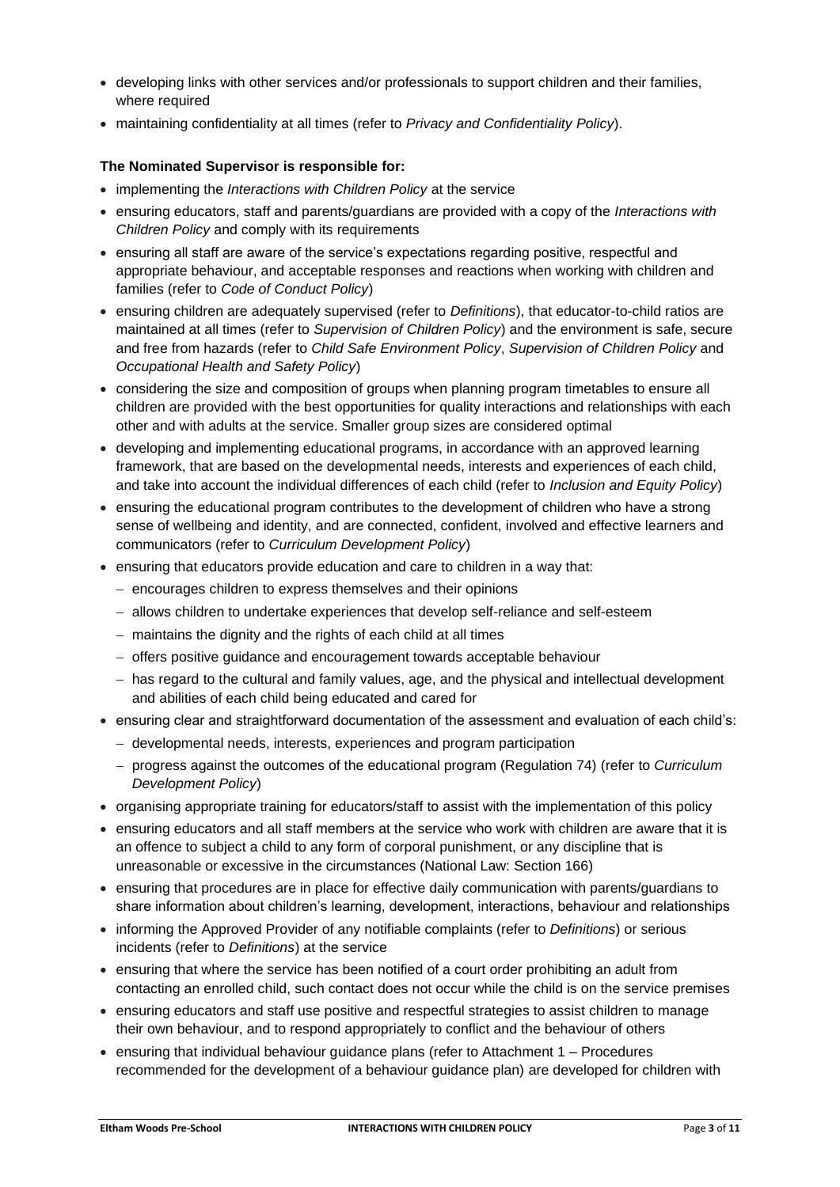- developing links with other services and/or professionals to support children and their families, where required
- maintaining confidentiality at all times (refer to *Privacy and Confidentiality Policy*).

# **The Nominated Supervisor is responsible for:**

- implementing the *Interactions with Children Policy* at the service
- ensuring educators, staff and parents/guardians are provided with a copy of the *Interactions with Children Policy* and comply with its requirements
- ensuring all staff are aware of the service's expectations regarding positive, respectful and appropriate behaviour, and acceptable responses and reactions when working with children and families (refer to *Code of Conduct Policy*)
- ensuring children are adequately supervised (refer to *Definitions*), that educator-to-child ratios are maintained at all times (refer to *Supervision of Children Policy*) and the environment is safe, secure and free from hazards (refer to *Child Safe Environment Policy*, *Supervision of Children Policy* and *Occupational Health and Safety Policy*)
- considering the size and composition of groups when planning program timetables to ensure all children are provided with the best opportunities for quality interactions and relationships with each other and with adults at the service. Smaller group sizes are considered optimal
- developing and implementing educational programs, in accordance with an approved learning framework, that are based on the developmental needs, interests and experiences of each child, and take into account the individual differences of each child (refer to *Inclusion and Equity Policy*)
- ensuring the educational program contributes to the development of children who have a strong sense of wellbeing and identity, and are connected, confident, involved and effective learners and communicators (refer to *Curriculum Development Policy*)
- ensuring that educators provide education and care to children in a way that:
	- − encourages children to express themselves and their opinions
	- − allows children to undertake experiences that develop self-reliance and self-esteem
	- − maintains the dignity and the rights of each child at all times
	- − offers positive guidance and encouragement towards acceptable behaviour
	- − has regard to the cultural and family values, age, and the physical and intellectual development and abilities of each child being educated and cared for
- ensuring clear and straightforward documentation of the assessment and evaluation of each child's:
	- − developmental needs, interests, experiences and program participation
	- − progress against the outcomes of the educational program (Regulation 74) (refer to *Curriculum Development Policy*)
- organising appropriate training for educators/staff to assist with the implementation of this policy
- ensuring educators and all staff members at the service who work with children are aware that it is an offence to subject a child to any form of corporal punishment, or any discipline that is unreasonable or excessive in the circumstances (National Law: Section 166)
- ensuring that procedures are in place for effective daily communication with parents/guardians to share information about children's learning, development, interactions, behaviour and relationships
- informing the Approved Provider of any notifiable complaints (refer to *Definitions*) or serious incidents (refer to *Definitions*) at the service
- ensuring that where the service has been notified of a court order prohibiting an adult from contacting an enrolled child, such contact does not occur while the child is on the service premises
- ensuring educators and staff use positive and respectful strategies to assist children to manage their own behaviour, and to respond appropriately to conflict and the behaviour of others
- ensuring that individual behaviour guidance plans (refer to Attachment 1 Procedures recommended for the development of a behaviour guidance plan) are developed for children with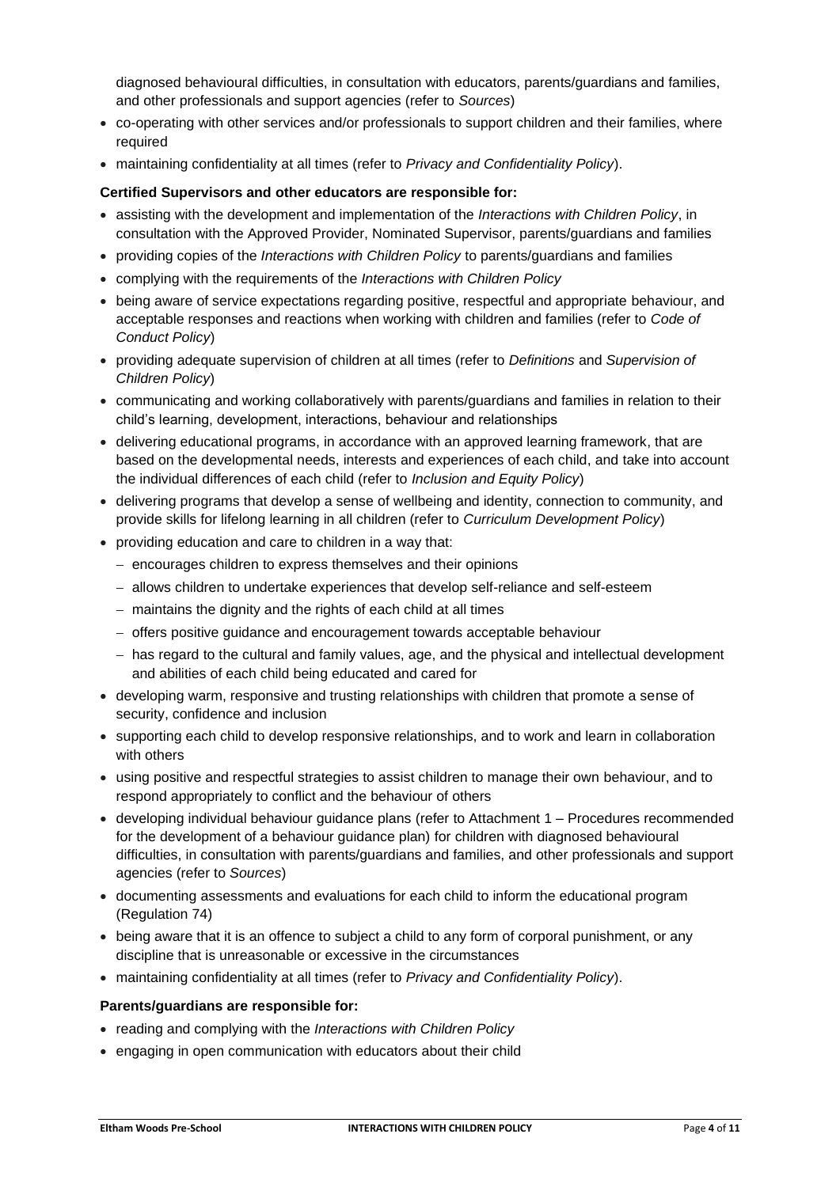diagnosed behavioural difficulties, in consultation with educators, parents/guardians and families, and other professionals and support agencies (refer to *Sources*)

- co-operating with other services and/or professionals to support children and their families, where required
- maintaining confidentiality at all times (refer to *Privacy and Confidentiality Policy*).

#### **Certified Supervisors and other educators are responsible for:**

- assisting with the development and implementation of the *Interactions with Children Policy*, in consultation with the Approved Provider, Nominated Supervisor, parents/guardians and families
- providing copies of the *Interactions with Children Policy* to parents/guardians and families
- complying with the requirements of the *Interactions with Children Policy*
- being aware of service expectations regarding positive, respectful and appropriate behaviour, and acceptable responses and reactions when working with children and families (refer to *Code of Conduct Policy*)
- providing adequate supervision of children at all times (refer to *Definitions* and *Supervision of Children Policy*)
- communicating and working collaboratively with parents/guardians and families in relation to their child's learning, development, interactions, behaviour and relationships
- delivering educational programs, in accordance with an approved learning framework, that are based on the developmental needs, interests and experiences of each child, and take into account the individual differences of each child (refer to *Inclusion and Equity Policy*)
- delivering programs that develop a sense of wellbeing and identity, connection to community, and provide skills for lifelong learning in all children (refer to *Curriculum Development Policy*)
- providing education and care to children in a way that:
	- − encourages children to express themselves and their opinions
	- − allows children to undertake experiences that develop self-reliance and self-esteem
	- − maintains the dignity and the rights of each child at all times
	- − offers positive guidance and encouragement towards acceptable behaviour
	- − has regard to the cultural and family values, age, and the physical and intellectual development and abilities of each child being educated and cared for
- developing warm, responsive and trusting relationships with children that promote a sense of security, confidence and inclusion
- supporting each child to develop responsive relationships, and to work and learn in collaboration with others
- using positive and respectful strategies to assist children to manage their own behaviour, and to respond appropriately to conflict and the behaviour of others
- developing individual behaviour guidance plans (refer to Attachment 1 Procedures recommended for the development of a behaviour guidance plan) for children with diagnosed behavioural difficulties, in consultation with parents/guardians and families, and other professionals and support agencies (refer to *Sources*)
- documenting assessments and evaluations for each child to inform the educational program (Regulation 74)
- being aware that it is an offence to subject a child to any form of corporal punishment, or any discipline that is unreasonable or excessive in the circumstances
- maintaining confidentiality at all times (refer to *Privacy and Confidentiality Policy*).

#### **Parents/guardians are responsible for:**

- reading and complying with the *Interactions with Children Policy*
- engaging in open communication with educators about their child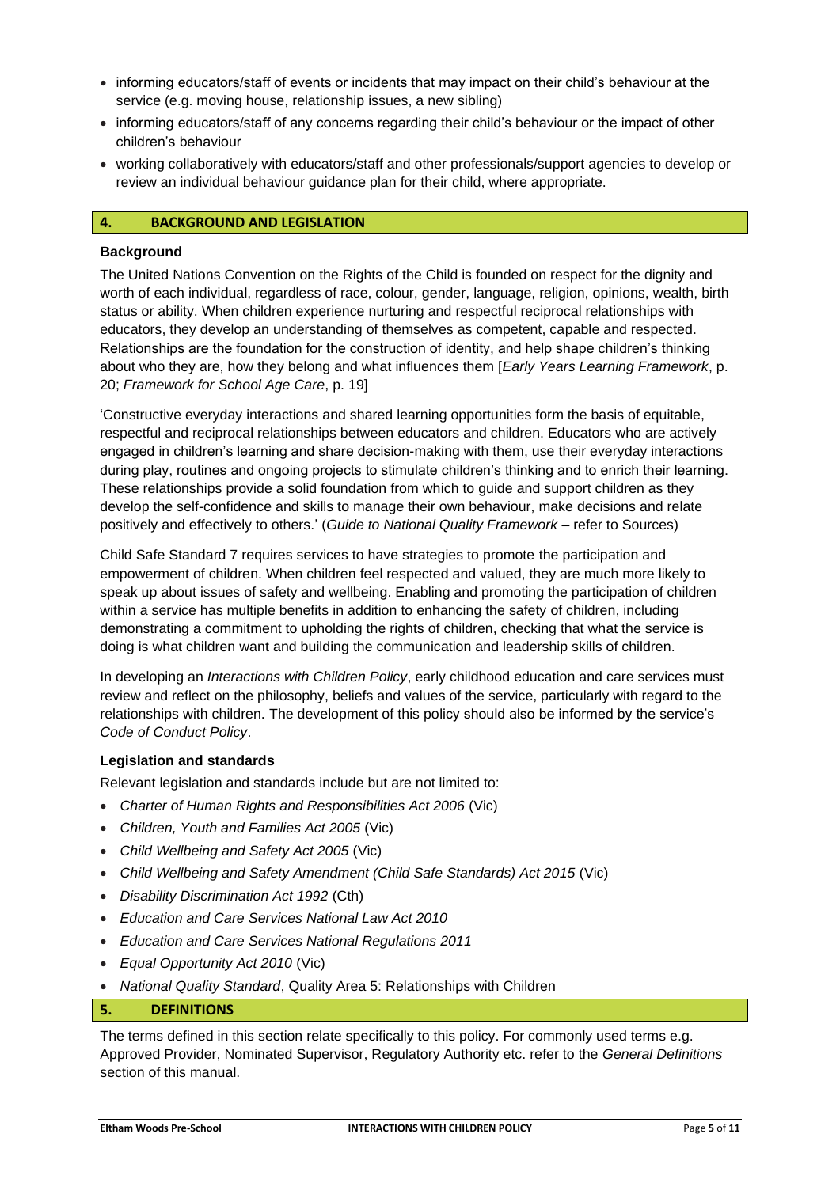- informing educators/staff of events or incidents that may impact on their child's behaviour at the service (e.g. moving house, relationship issues, a new sibling)
- informing educators/staff of any concerns regarding their child's behaviour or the impact of other children's behaviour
- working collaboratively with educators/staff and other professionals/support agencies to develop or review an individual behaviour guidance plan for their child, where appropriate.

#### **4. BACKGROUND AND LEGISLATION**

#### **Background**

The United Nations Convention on the Rights of the Child is founded on respect for the dignity and worth of each individual, regardless of race, colour, gender, language, religion, opinions, wealth, birth status or ability. When children experience nurturing and respectful reciprocal relationships with educators, they develop an understanding of themselves as competent, capable and respected. Relationships are the foundation for the construction of identity, and help shape children's thinking about who they are, how they belong and what influences them [*Early Years Learning Framework*, p. 20; *Framework for School Age Care*, p. 19]

'Constructive everyday interactions and shared learning opportunities form the basis of equitable, respectful and reciprocal relationships between educators and children. Educators who are actively engaged in children's learning and share decision-making with them, use their everyday interactions during play, routines and ongoing projects to stimulate children's thinking and to enrich their learning. These relationships provide a solid foundation from which to guide and support children as they develop the self-confidence and skills to manage their own behaviour, make decisions and relate positively and effectively to others.' (*Guide to National Quality Framework* – refer to Sources)

Child Safe Standard 7 requires services to have strategies to promote the participation and empowerment of children. When children feel respected and valued, they are much more likely to speak up about issues of safety and wellbeing. Enabling and promoting the participation of children within a service has multiple benefits in addition to enhancing the safety of children, including demonstrating a commitment to upholding the rights of children, checking that what the service is doing is what children want and building the communication and leadership skills of children.

In developing an *Interactions with Children Policy*, early childhood education and care services must review and reflect on the philosophy, beliefs and values of the service, particularly with regard to the relationships with children. The development of this policy should also be informed by the service's *Code of Conduct Policy*.

# **Legislation and standards**

Relevant legislation and standards include but are not limited to:

- *Charter of Human Rights and Responsibilities Act 2006* (Vic)
- *Children, Youth and Families Act 2005* (Vic)
- *Child Wellbeing and Safety Act 2005* (Vic)
- *Child Wellbeing and Safety Amendment (Child Safe Standards) Act 2015* (Vic)
- *Disability Discrimination Act 1992* (Cth)
- *Education and Care Services National Law Act 2010*
- *Education and Care Services National Regulations 2011*
- *Equal Opportunity Act 2010* (Vic)
- *National Quality Standard*, Quality Area 5: Relationships with Children

#### **5. DEFINITIONS**

The terms defined in this section relate specifically to this policy. For commonly used terms e.g. Approved Provider, Nominated Supervisor, Regulatory Authority etc. refer to the *General Definitions* section of this manual.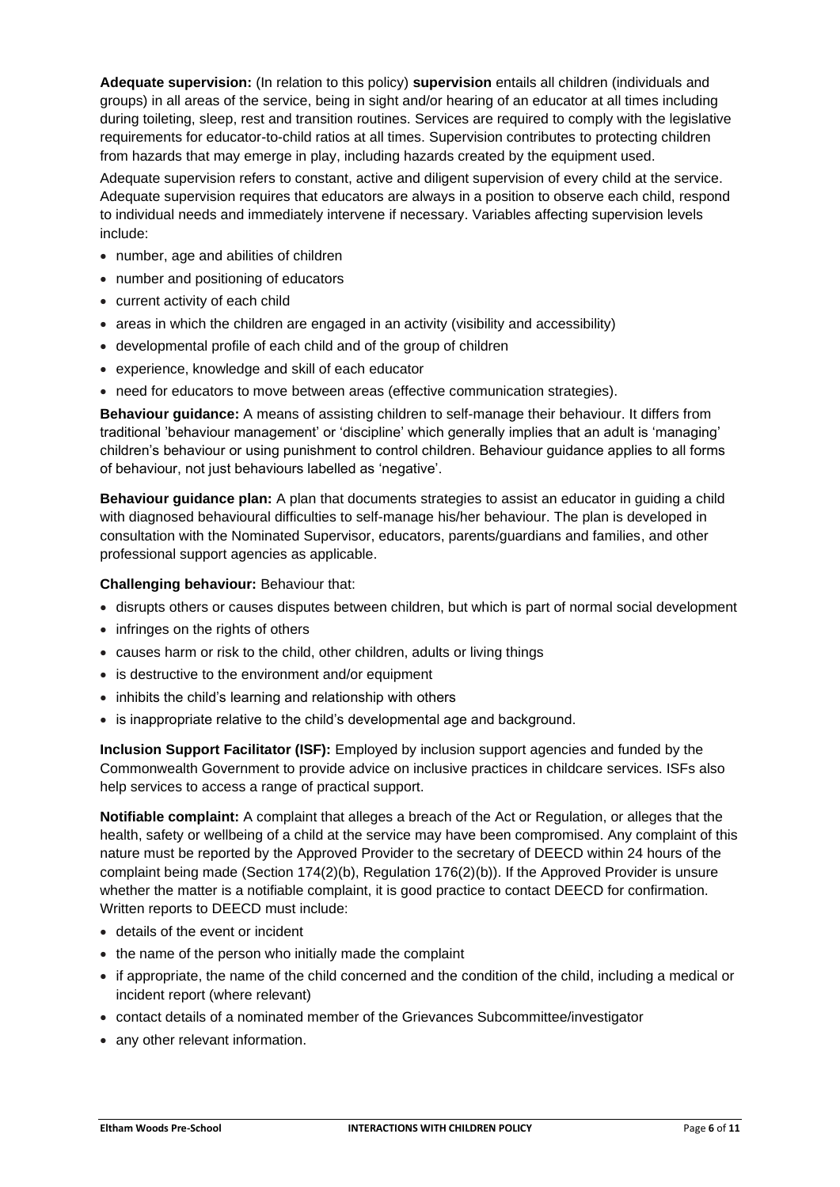**Adequate supervision:** (In relation to this policy) **supervision** entails all children (individuals and groups) in all areas of the service, being in sight and/or hearing of an educator at all times including during toileting, sleep, rest and transition routines. Services are required to comply with the legislative requirements for educator-to-child ratios at all times. Supervision contributes to protecting children from hazards that may emerge in play, including hazards created by the equipment used.

Adequate supervision refers to constant, active and diligent supervision of every child at the service. Adequate supervision requires that educators are always in a position to observe each child, respond to individual needs and immediately intervene if necessary. Variables affecting supervision levels include:

- number, age and abilities of children
- number and positioning of educators
- current activity of each child
- areas in which the children are engaged in an activity (visibility and accessibility)
- developmental profile of each child and of the group of children
- experience, knowledge and skill of each educator
- need for educators to move between areas (effective communication strategies).

**Behaviour guidance:** A means of assisting children to self-manage their behaviour. It differs from traditional 'behaviour management' or 'discipline' which generally implies that an adult is 'managing' children's behaviour or using punishment to control children. Behaviour guidance applies to all forms of behaviour, not just behaviours labelled as 'negative'.

**Behaviour guidance plan:** A plan that documents strategies to assist an educator in guiding a child with diagnosed behavioural difficulties to self-manage his/her behaviour. The plan is developed in consultation with the Nominated Supervisor, educators, parents/guardians and families, and other professional support agencies as applicable.

#### **Challenging behaviour:** Behaviour that:

- disrupts others or causes disputes between children, but which is part of normal social development
- infringes on the rights of others
- causes harm or risk to the child, other children, adults or living things
- is destructive to the environment and/or equipment
- inhibits the child's learning and relationship with others
- is inappropriate relative to the child's developmental age and background.

**Inclusion Support Facilitator (ISF):** Employed by inclusion support agencies and funded by the Commonwealth Government to provide advice on inclusive practices in childcare services. ISFs also help services to access a range of practical support.

**Notifiable complaint:** A complaint that alleges a breach of the Act or Regulation, or alleges that the health, safety or wellbeing of a child at the service may have been compromised. Any complaint of this nature must be reported by the Approved Provider to the secretary of DEECD within 24 hours of the complaint being made (Section 174(2)(b), Regulation 176(2)(b)). If the Approved Provider is unsure whether the matter is a notifiable complaint, it is good practice to contact DEECD for confirmation. Written reports to DEECD must include:

- details of the event or incident
- the name of the person who initially made the complaint
- if appropriate, the name of the child concerned and the condition of the child, including a medical or incident report (where relevant)
- contact details of a nominated member of the Grievances Subcommittee/investigator
- any other relevant information.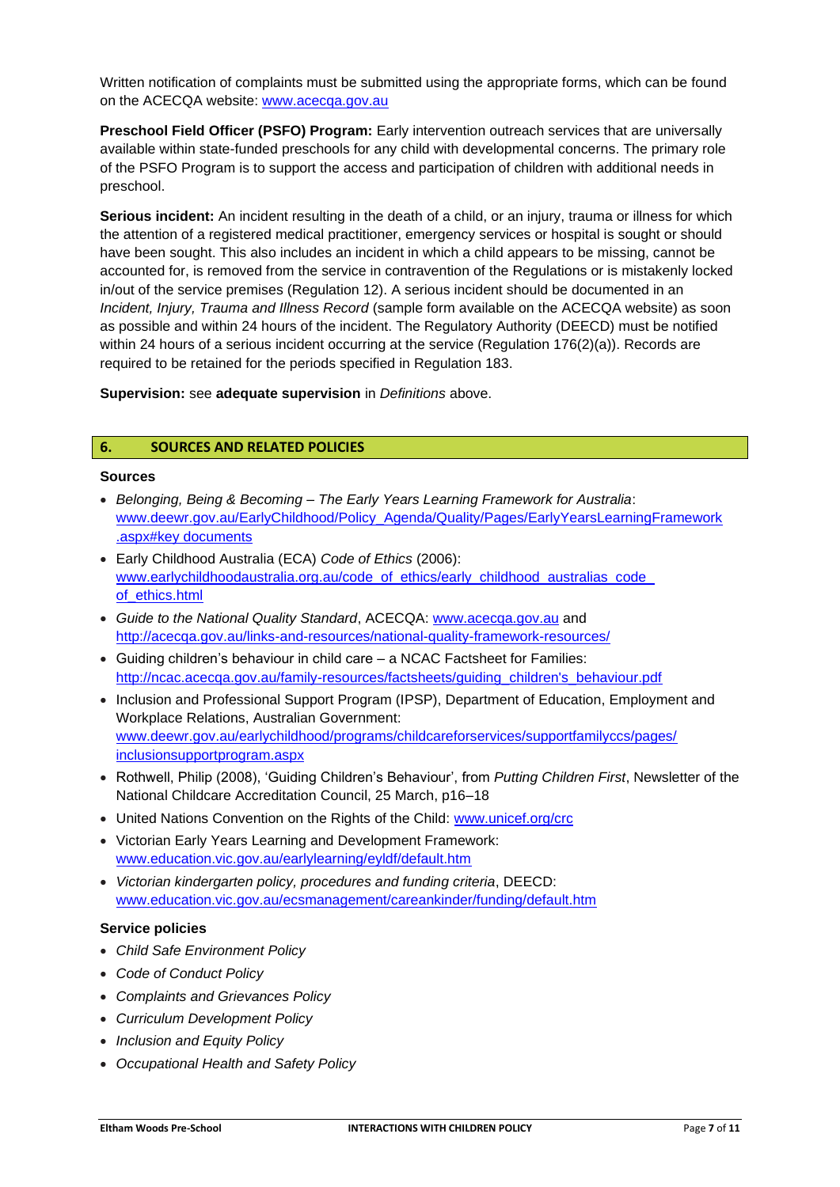Written notification of complaints must be submitted using the appropriate forms, which can be found on the ACECQA website: www.acecqa.gov.au

**Preschool Field Officer (PSFO) Program:** Early intervention outreach services that are universally available within state-funded preschools for any child with developmental concerns. The primary role of the PSFO Program is to support the access and participation of children with additional needs in preschool.

**Serious incident:** An incident resulting in the death of a child, or an injury, trauma or illness for which the attention of a registered medical practitioner, emergency services or hospital is sought or should have been sought. This also includes an incident in which a child appears to be missing, cannot be accounted for, is removed from the service in contravention of the Regulations or is mistakenly locked in/out of the service premises (Regulation 12). A serious incident should be documented in an *Incident, Injury, Trauma and Illness Record* (sample form available on the ACECQA website) as soon as possible and within 24 hours of the incident. The Regulatory Authority (DEECD) must be notified within 24 hours of a serious incident occurring at the service (Regulation 176(2)(a)). Records are required to be retained for the periods specified in Regulation 183.

**Supervision:** see **adequate supervision** in *Definitions* above.

# **6. SOURCES AND RELATED POLICIES**

#### **Sources**

- *Belonging, Being & Becoming – The Early Years Learning Framework for Australia*: [www.deewr.gov.au/EarlyChildhood/Policy\\_Agenda/Quality/Pages/EarlyYearsLearningFramework](http://www.deewr.gov.au/EarlyChildhood/Policy_Agenda/Quality/Pages/EarlyYearsLearningFramework) .aspx#key documents
- Early Childhood Australia (ECA) *Code of Ethics* (2006): www.earlychildhoodaustralia.org.au/code\_of\_ethics/early\_childhood\_australias\_code of\_ethics.html
- *Guide to the National Quality Standard*, ACECQA: [www.acecqa.gov.au](http://www.acecqa.gov.au/) and http://acecqa.gov.au/links-and-resources/national-quality-framework-resources/
- Guiding children's behaviour in child care a NCAC Factsheet for Families: http://ncac.acecqa.gov.au/family-resources/factsheets/guiding\_children's\_behaviour.pdf
- Inclusion and Professional Support Program (IPSP), Department of Education, Employment and Workplace Relations, Australian Government: www.deewr.gov.au/earlychildhood/programs/childcareforservices/supportfamilyccs/pages/ inclusionsupportprogram.aspx
- Rothwell, Philip (2008), 'Guiding Children's Behaviour', from *Putting Children First*, Newsletter of the National Childcare Accreditation Council, 25 March, p16–18
- United Nations Convention on the Rights of the Child: www.unicef.org/crc
- Victorian Early Years Learning and Development Framework: www.education.vic.gov.au/earlylearning/eyldf/default.htm
- *Victorian kindergarten policy, procedures and funding criteria*, DEECD: www.education.vic.gov.au/ecsmanagement/careankinder/funding/default.htm

#### **Service policies**

- *Child Safe Environment Policy*
- *Code of Conduct Policy*
- *Complaints and Grievances Policy*
- *Curriculum Development Policy*
- *Inclusion and Equity Policy*
- *Occupational Health and Safety Policy*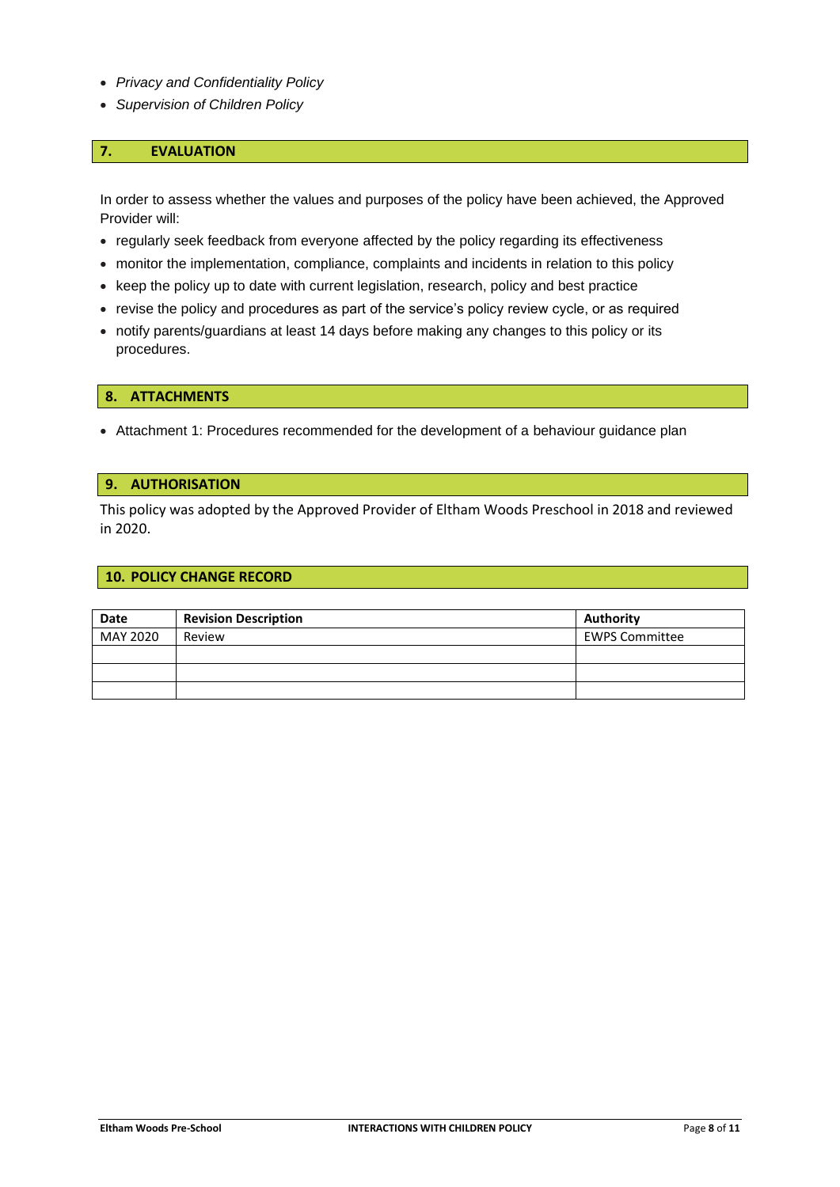- *Privacy and Confidentiality Policy*
- *Supervision of Children Policy*

# **7. EVALUATION**

In order to assess whether the values and purposes of the policy have been achieved, the Approved Provider will:

- regularly seek feedback from everyone affected by the policy regarding its effectiveness
- monitor the implementation, compliance, complaints and incidents in relation to this policy
- keep the policy up to date with current legislation, research, policy and best practice
- revise the policy and procedures as part of the service's policy review cycle, or as required
- notify parents/guardians at least 14 days before making any changes to this policy or its procedures.

#### **8. ATTACHMENTS**

• Attachment 1: Procedures recommended for the development of a behaviour guidance plan

#### **9. AUTHORISATION**

This policy was adopted by the Approved Provider of Eltham Woods Preschool in 2018 and reviewed in 2020.

## **10. POLICY CHANGE RECORD**

| <b>Date</b> | <b>Revision Description</b> | Authority             |
|-------------|-----------------------------|-----------------------|
| MAY 2020    | Review                      | <b>EWPS Committee</b> |
|             |                             |                       |
|             |                             |                       |
|             |                             |                       |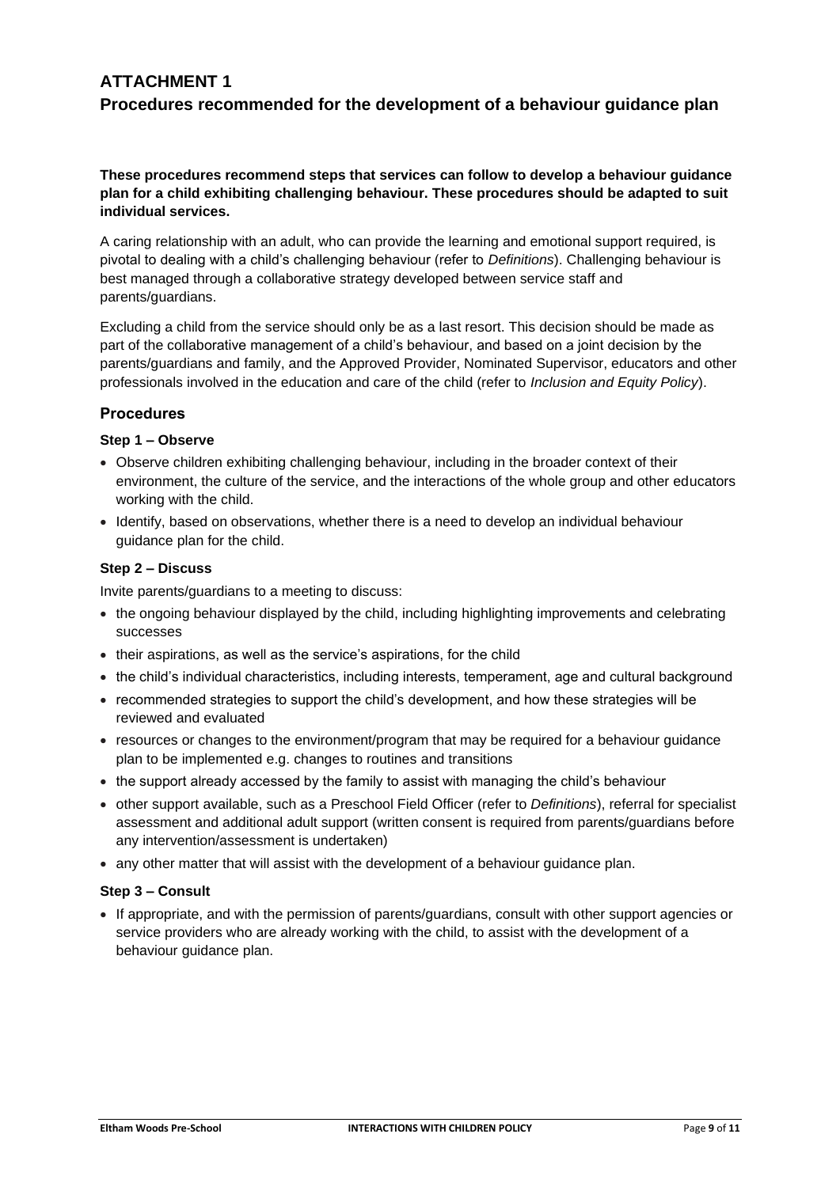# **ATTACHMENT 1 Procedures recommended for the development of a behaviour guidance plan**

# **These procedures recommend steps that services can follow to develop a behaviour guidance plan for a child exhibiting challenging behaviour. These procedures should be adapted to suit individual services.**

A caring relationship with an adult, who can provide the learning and emotional support required, is pivotal to dealing with a child's challenging behaviour (refer to *Definitions*). Challenging behaviour is best managed through a collaborative strategy developed between service staff and parents/guardians.

Excluding a child from the service should only be as a last resort. This decision should be made as part of the collaborative management of a child's behaviour, and based on a joint decision by the parents/guardians and family, and the Approved Provider, Nominated Supervisor, educators and other professionals involved in the education and care of the child (refer to *Inclusion and Equity Policy*).

# **Procedures**

# **Step 1 – Observe**

- Observe children exhibiting challenging behaviour, including in the broader context of their environment, the culture of the service, and the interactions of the whole group and other educators working with the child.
- Identify, based on observations, whether there is a need to develop an individual behaviour guidance plan for the child.

# **Step 2 – Discuss**

Invite parents/guardians to a meeting to discuss:

- the ongoing behaviour displayed by the child, including highlighting improvements and celebrating successes
- their aspirations, as well as the service's aspirations, for the child
- the child's individual characteristics, including interests, temperament, age and cultural background
- recommended strategies to support the child's development, and how these strategies will be reviewed and evaluated
- resources or changes to the environment/program that may be required for a behaviour guidance plan to be implemented e.g. changes to routines and transitions
- the support already accessed by the family to assist with managing the child's behaviour
- other support available, such as a Preschool Field Officer (refer to *Definitions*), referral for specialist assessment and additional adult support (written consent is required from parents/guardians before any intervention/assessment is undertaken)
- any other matter that will assist with the development of a behaviour guidance plan.

# **Step 3 – Consult**

• If appropriate, and with the permission of parents/guardians, consult with other support agencies or service providers who are already working with the child, to assist with the development of a behaviour guidance plan.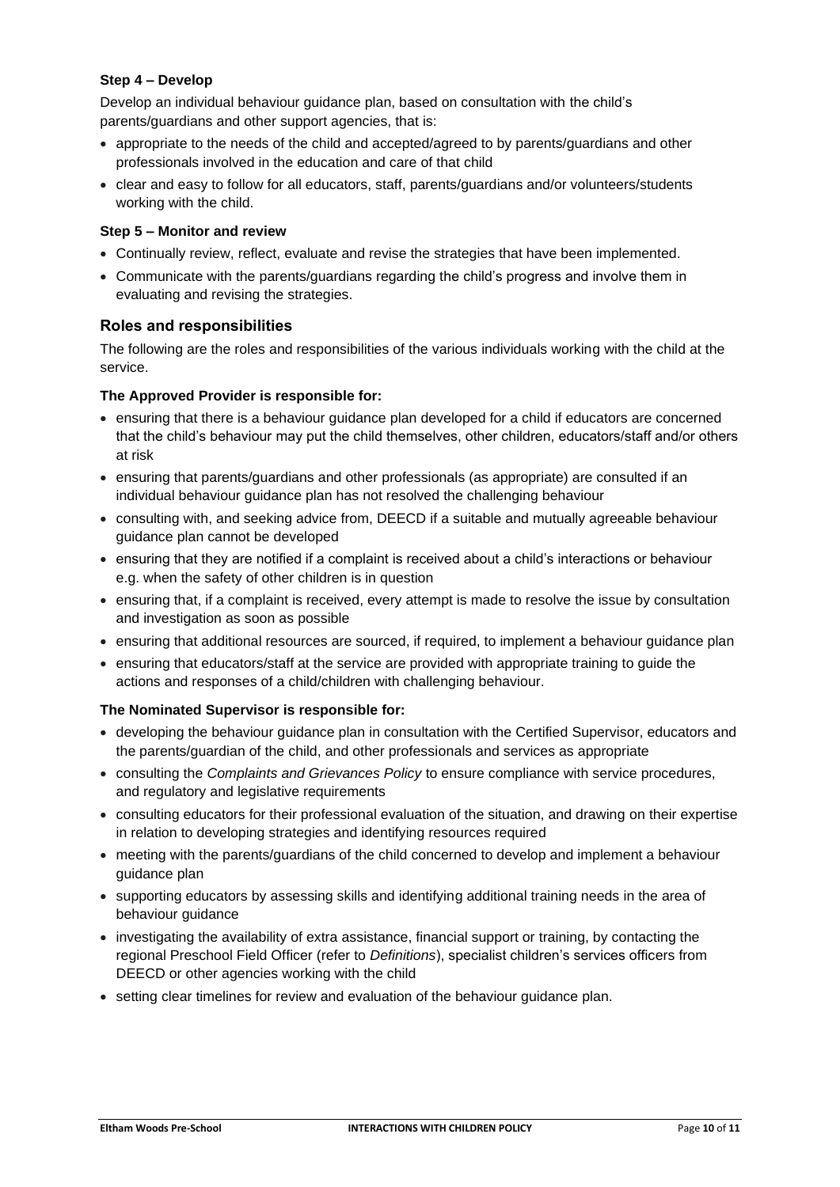# **Step 4 – Develop**

Develop an individual behaviour guidance plan, based on consultation with the child's parents/guardians and other support agencies, that is:

- appropriate to the needs of the child and accepted/agreed to by parents/guardians and other professionals involved in the education and care of that child
- clear and easy to follow for all educators, staff, parents/guardians and/or volunteers/students working with the child.

# **Step 5 – Monitor and review**

- Continually review, reflect, evaluate and revise the strategies that have been implemented.
- Communicate with the parents/guardians regarding the child's progress and involve them in evaluating and revising the strategies.

# **Roles and responsibilities**

The following are the roles and responsibilities of the various individuals working with the child at the service.

# **The Approved Provider is responsible for:**

- ensuring that there is a behaviour guidance plan developed for a child if educators are concerned that the child's behaviour may put the child themselves, other children, educators/staff and/or others at risk
- ensuring that parents/guardians and other professionals (as appropriate) are consulted if an individual behaviour guidance plan has not resolved the challenging behaviour
- consulting with, and seeking advice from, DEECD if a suitable and mutually agreeable behaviour guidance plan cannot be developed
- ensuring that they are notified if a complaint is received about a child's interactions or behaviour e.g. when the safety of other children is in question
- ensuring that, if a complaint is received, every attempt is made to resolve the issue by consultation and investigation as soon as possible
- ensuring that additional resources are sourced, if required, to implement a behaviour guidance plan
- ensuring that educators/staff at the service are provided with appropriate training to guide the actions and responses of a child/children with challenging behaviour.

# **The Nominated Supervisor is responsible for:**

- developing the behaviour guidance plan in consultation with the Certified Supervisor, educators and the parents/guardian of the child, and other professionals and services as appropriate
- consulting the *Complaints and Grievances Policy* to ensure compliance with service procedures, and regulatory and legislative requirements
- consulting educators for their professional evaluation of the situation, and drawing on their expertise in relation to developing strategies and identifying resources required
- meeting with the parents/guardians of the child concerned to develop and implement a behaviour guidance plan
- supporting educators by assessing skills and identifying additional training needs in the area of behaviour guidance
- investigating the availability of extra assistance, financial support or training, by contacting the regional Preschool Field Officer (refer to *Definitions*), specialist children's services officers from DEECD or other agencies working with the child
- setting clear timelines for review and evaluation of the behaviour guidance plan.